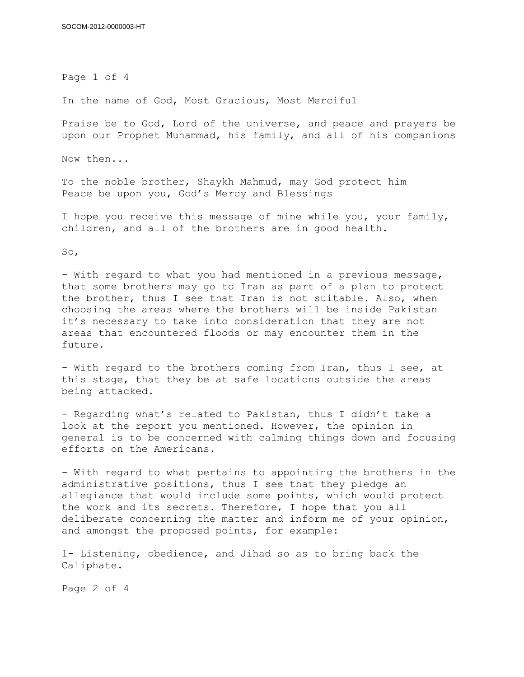Page 1 of 4

In the name of God, Most Gracious, Most Merciful

Praise be to God, Lord of the universe, and peace and prayers be upon our Prophet Muhammad, his family, and all of his companions

Now then...

To the noble brother, Shaykh Mahmud, may God protect him Peace be upon you, God's Mercy and Blessings

I hope you receive this message of mine while you, your family, children, and all of the brothers are in good health.

So,

- With regard to what you had mentioned in a previous message, that some brothers may go to Iran as part of a plan to protect the brother, thus I see that Iran is not suitable. Also, when choosing the areas where the brothers will be inside Pakistan it's necessary to take into consideration that they are not areas that encountered floods or may encounter them in the future.

- With regard to the brothers coming from Iran, thus I see, at this stage, that they be at safe locations outside the areas being attacked.

- Regarding what's related to Pakistan, thus I didn't take a look at the report you mentioned. However, the opinion in general is to be concerned with calming things down and focusing efforts on the Americans.

- With regard to what pertains to appointing the brothers in the administrative positions, thus I see that they pledge an allegiance that would include some points, which would protect the work and its secrets. Therefore, I hope that you all deliberate concerning the matter and inform me of your opinion, and amongst the proposed points, for example:

1- Listening, obedience, and Jihad so as to bring back the Caliphate.

Page 2 of 4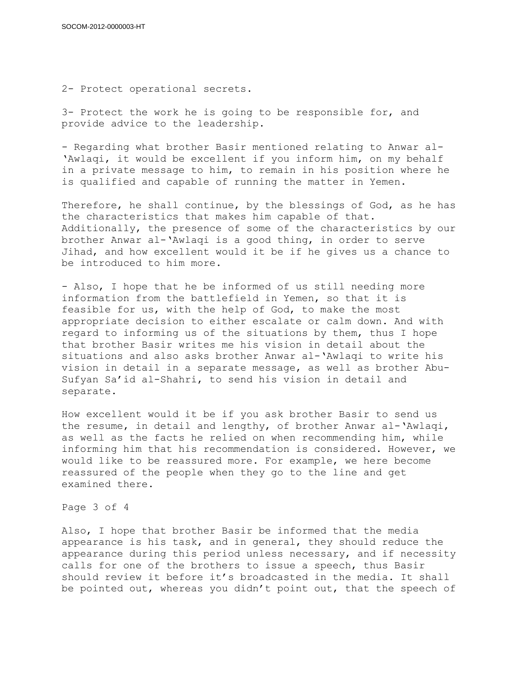2- Protect operational secrets.

3- Protect the work he is going to be responsible for, and provide advice to the leadership.

- Regarding what brother Basir mentioned relating to Anwar al- 'Awlaqi, it would be excellent if you inform him, on my behalf in a private message to him, to remain in his position where he is qualified and capable of running the matter in Yemen.

Therefore, he shall continue, by the blessings of God, as he has the characteristics that makes him capable of that. Additionally, the presence of some of the characteristics by our brother Anwar al-'Awlaqi is a good thing, in order to serve Jihad, and how excellent would it be if he gives us a chance to be introduced to him more.

- Also, I hope that he be informed of us still needing more information from the battlefield in Yemen, so that it is feasible for us, with the help of God, to make the most appropriate decision to either escalate or calm down. And with regard to informing us of the situations by them, thus I hope that brother Basir writes me his vision in detail about the situations and also asks brother Anwar al-'Awlaqi to write his vision in detail in a separate message, as well as brother Abu-Sufyan Sa'id al-Shahri, to send his vision in detail and separate.

How excellent would it be if you ask brother Basir to send us the resume, in detail and lengthy, of brother Anwar al-'Awlaqi, as well as the facts he relied on when recommending him, while informing him that his recommendation is considered. However, we would like to be reassured more. For example, we here become reassured of the people when they go to the line and get examined there.

## Page 3 of 4

Also, I hope that brother Basir be informed that the media appearance is his task, and in general, they should reduce the appearance during this period unless necessary, and if necessity calls for one of the brothers to issue a speech, thus Basir should review it before it's broadcasted in the media. It shall be pointed out, whereas you didn't point out, that the speech of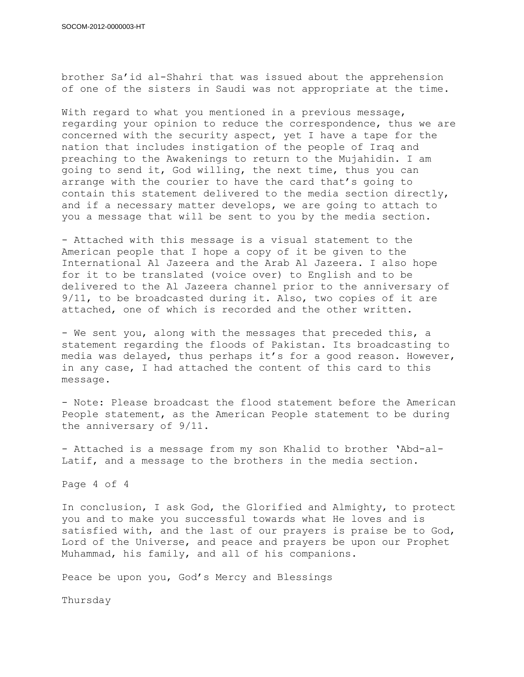brother Sa'id al-Shahri that was issued about the apprehension of one of the sisters in Saudi was not appropriate at the time.

With regard to what you mentioned in a previous message, regarding your opinion to reduce the correspondence, thus we are concerned with the security aspect, yet I have a tape for the nation that includes instigation of the people of Iraq and preaching to the Awakenings to return to the Mujahidin. I am going to send it, God willing, the next time, thus you can arrange with the courier to have the card that's going to contain this statement delivered to the media section directly, and if a necessary matter develops, we are going to attach to you a message that will be sent to you by the media section.

- Attached with this message is a visual statement to the American people that I hope a copy of it be given to the International Al Jazeera and the Arab Al Jazeera. I also hope for it to be translated (voice over) to English and to be delivered to the Al Jazeera channel prior to the anniversary of 9/11, to be broadcasted during it. Also, two copies of it are attached, one of which is recorded and the other written.

- We sent you, along with the messages that preceded this, a statement regarding the floods of Pakistan. Its broadcasting to media was delayed, thus perhaps it's for a good reason. However, in any case, I had attached the content of this card to this message.

- Note: Please broadcast the flood statement before the American People statement, as the American People statement to be during the anniversary of 9/11.

- Attached is a message from my son Khalid to brother 'Abd-al-Latif, and a message to the brothers in the media section.

Page 4 of 4

In conclusion, I ask God, the Glorified and Almighty, to protect you and to make you successful towards what He loves and is satisfied with, and the last of our prayers is praise be to God, Lord of the Universe, and peace and prayers be upon our Prophet Muhammad, his family, and all of his companions.

Peace be upon you, God's Mercy and Blessings

Thursday